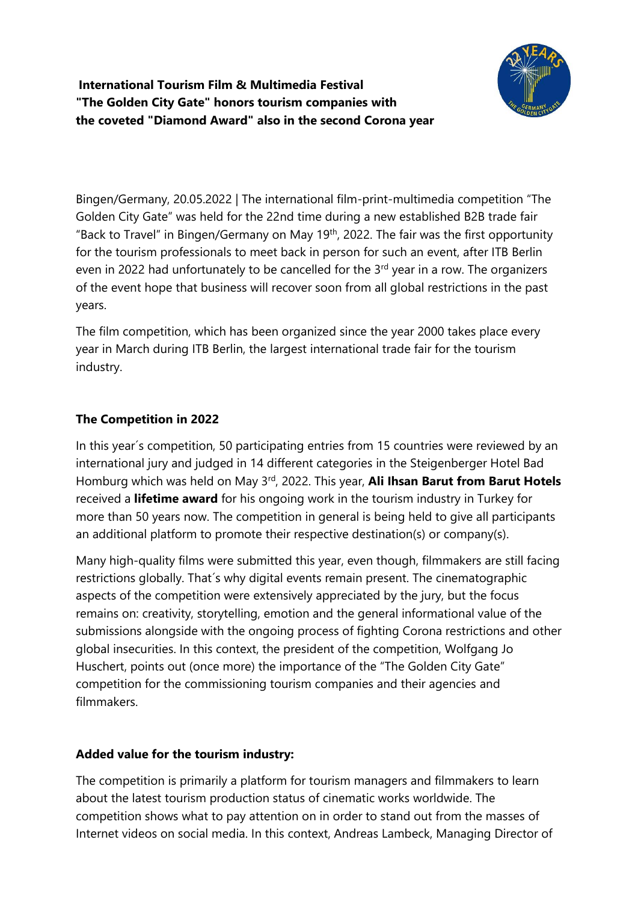**International Tourism Film & Multimedia Festival "The Golden City Gate" honors tourism companies with the coveted "Diamond Award" also in the second Corona year**



Bingen/Germany, 20.05.2022 | The international film-print-multimedia competition "The Golden City Gate" was held for the 22nd time during a new established B2B trade fair "Back to Travel" in Bingen/Germany on May 19th, 2022. The fair was the first opportunity for the tourism professionals to meet back in person for such an event, after ITB Berlin even in 2022 had unfortunately to be cancelled for the  $3<sup>rd</sup>$  year in a row. The organizers of the event hope that business will recover soon from all global restrictions in the past years.

The film competition, which has been organized since the year 2000 takes place every year in March during ITB Berlin, the largest international trade fair for the tourism industry.

# **The Competition in 2022**

In this year´s competition, 50 participating entries from 15 countries were reviewed by an international jury and judged in 14 different categories in the Steigenberger Hotel Bad Homburg which was held on May 3rd, 2022. This year, **Ali Ihsan Barut from Barut Hotels** received a **lifetime award** for his ongoing work in the tourism industry in Turkey for more than 50 years now. The competition in general is being held to give all participants an additional platform to promote their respective destination(s) or company(s).

Many high-quality films were submitted this year, even though, filmmakers are still facing restrictions globally. That´s why digital events remain present. The cinematographic aspects of the competition were extensively appreciated by the jury, but the focus remains on: creativity, storytelling, emotion and the general informational value of the submissions alongside with the ongoing process of fighting Corona restrictions and other global insecurities. In this context, the president of the competition, Wolfgang Jo Huschert, points out (once more) the importance of the "The Golden City Gate" competition for the commissioning tourism companies and their agencies and filmmakers.

### **Added value for the tourism industry:**

The competition is primarily a platform for tourism managers and filmmakers to learn about the latest tourism production status of cinematic works worldwide. The competition shows what to pay attention on in order to stand out from the masses of Internet videos on social media. In this context, Andreas Lambeck, Managing Director of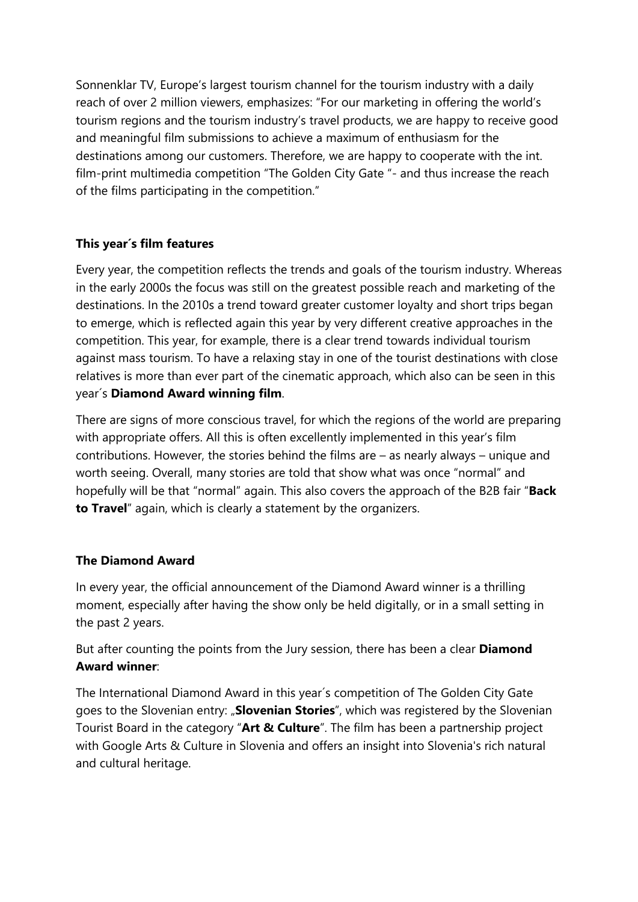Sonnenklar TV, Europe's largest tourism channel for the tourism industry with a daily reach of over 2 million viewers, emphasizes: "For our marketing in offering the world's tourism regions and the tourism industry's travel products, we are happy to receive good and meaningful film submissions to achieve a maximum of enthusiasm for the destinations among our customers. Therefore, we are happy to cooperate with the int. film-print multimedia competition "The Golden City Gate "- and thus increase the reach of the films participating in the competition."

### **This year´s film features**

Every year, the competition reflects the trends and goals of the tourism industry. Whereas in the early 2000s the focus was still on the greatest possible reach and marketing of the destinations. In the 2010s a trend toward greater customer loyalty and short trips began to emerge, which is reflected again this year by very different creative approaches in the competition. This year, for example, there is a clear trend towards individual tourism against mass tourism. To have a relaxing stay in one of the tourist destinations with close relatives is more than ever part of the cinematic approach, which also can be seen in this year´s **Diamond Award winning film**.

There are signs of more conscious travel, for which the regions of the world are preparing with appropriate offers. All this is often excellently implemented in this year's film contributions. However, the stories behind the films are – as nearly always – unique and worth seeing. Overall, many stories are told that show what was once "normal" and hopefully will be that "normal" again. This also covers the approach of the B2B fair "**Back to Travel**" again, which is clearly a statement by the organizers.

### **The Diamond Award**

In every year, the official announcement of the Diamond Award winner is a thrilling moment, especially after having the show only be held digitally, or in a small setting in the past 2 years.

But after counting the points from the Jury session, there has been a clear **Diamond Award winner**:

The International Diamond Award in this year´s competition of The Golden City Gate goes to the Slovenian entry: "**Slovenian Stories**", which was registered by the Slovenian Tourist Board in the category "**Art & Culture**". The film has been a partnership project with Google Arts & Culture in Slovenia and offers an insight into Slovenia's rich natural and cultural heritage.